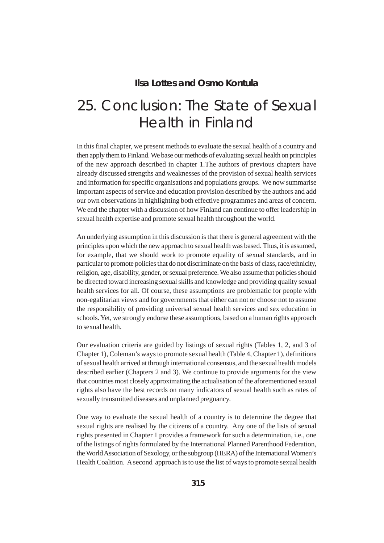### **Ilsa Lottes and Osmo Kontula**

# 25. Conclusion: The State of Sexual Health in Finland

In this final chapter, we present methods to evaluate the sexual health of a country and then apply them to Finland. We base our methods of evaluating sexual health on principles of the new approach described in chapter 1.The authors of previous chapters have already discussed strengths and weaknesses of the provision of sexual health services and information for specific organisations and populations groups. We now summarise important aspects of service and education provision described by the authors and add our own observations in highlighting both effective programmes and areas of concern. We end the chapter with a discussion of how Finland can continue to offer leadership in sexual health expertise and promote sexual health throughout the world.

An underlying assumption in this discussion is that there is general agreement with the principles upon which the new approach to sexual health was based. Thus, it is assumed, for example, that we should work to promote equality of sexual standards, and in particular to promote policies that do not discriminate on the basis of class, race/ethnicity, religion, age, disability, gender, or sexual preference. We also assume that policies should be directed toward increasing sexual skills and knowledge and providing quality sexual health services for all. Of course, these assumptions are problematic for people with non-egalitarian views and for governments that either can not or choose not to assume the responsibility of providing universal sexual health services and sex education in schools. Yet, we strongly endorse these assumptions, based on a human rights approach to sexual health.

Our evaluation criteria are guided by listings of sexual rights (Tables 1, 2, and 3 of Chapter 1), Coleman's ways to promote sexual health (Table 4, Chapter 1), definitions of sexual health arrived at through international consensus, and the sexual health models described earlier (Chapters 2 and 3). We continue to provide arguments for the view that countries most closely approximating the actualisation of the aforementioned sexual rights also have the best records on many indicators of sexual health such as rates of sexually transmitted diseases and unplanned pregnancy.

One way to evaluate the sexual health of a country is to determine the degree that sexual rights are realised by the citizens of a country. Any one of the lists of sexual rights presented in Chapter 1 provides a framework for such a determination, i.e., one of the listings of rights formulated by the International Planned Parenthood Federation, the World Association of Sexology, or the subgroup (HERA) of the International Women's Health Coalition. A second approach is to use the list of ways to promote sexual health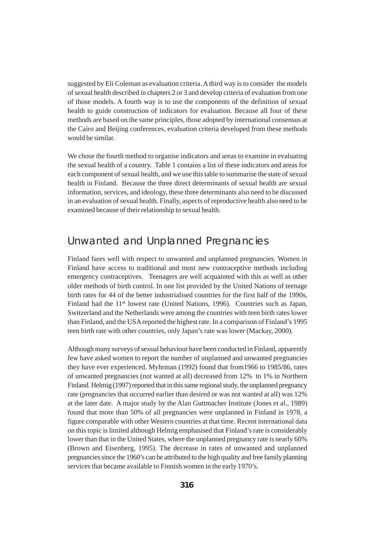suggested by Eli Coleman as evaluation criteria. A third way is to consider the models of sexual health described in chapters 2 or 3 and develop criteria of evaluation from one of those models. A fourth way is to use the components of the definition of sexual health to guide construction of indicators for evaluation. Because all four of these methods are based on the same principles, those adopted by international consensus at the Cairo and Beijing conferences, evaluation criteria developed from these methods would be similar.

We chose the fourth method to organise indicators and areas to examine in evaluating the sexual health of a country. Table 1 contains a list of these indicators and areas for each component of sexual health, and we use this table to summarise the state of sexual health in Finland. Because the three direct determinants of sexual health are sexual information, services, and ideology, these three determinants also need to be discussed in an evaluation of sexual health. Finally, aspects of reproductive health also need to be examined because of their relationship to sexual health.

### Unwanted and Unplanned Pregnancies

Finland fares well with respect to unwanted and unplanned pregnancies. Women in Finland have access to traditional and most new contraceptive methods including emergency contraceptives. Teenagers are well acquainted with this as well as other older methods of birth control. In one list provided by the United Nations of teenage birth rates for 44 of the better industrialised countries for the first half of the 1990s, Finland had the  $11<sup>th</sup>$  lowest rate (United Nations, 1996). Countries such as Japan, Switzerland and the Netherlands were among the countries with teen birth rates lower than Finland, and the USA reported the highest rate. In a comparison of Finland's 1995 teen birth rate with other countries, only Japan's rate was lower (Mackay, 2000).

Although many surveys of sexual behaviour have been conducted in Finland, apparently few have asked women to report the number of unplanned and unwanted pregnancies they have ever experienced. Myhrman (1992) found that from1966 to 1985/86, rates of unwanted pregnancies (not wanted at all) decreased from 12% to 1% in Northern Finland. Helmig (1997) reported that in this same regional study, the unplanned pregnancy rate (pregnancies that occurred earlier than desired or was not wanted at all) was 12% at the later date. A major study by the Alan Guttmacher Institute (Jones et al., 1989) found that more than 50% of all pregnancies were unplanned in Finland in 1978, a figure comparable with other Western countries at that time. Recent international data on this topic is limited although Helmig emphasised that Finland's rate is considerably lower than that in the United States, where the unplanned pregnancy rate is nearly 60% (Brown and Eisenberg, 1995). The decrease in rates of unwanted and unplanned pregnancies since the 1960's can be attributed to the high quality and free family planning services that became available to Finnish women in the early 1970's.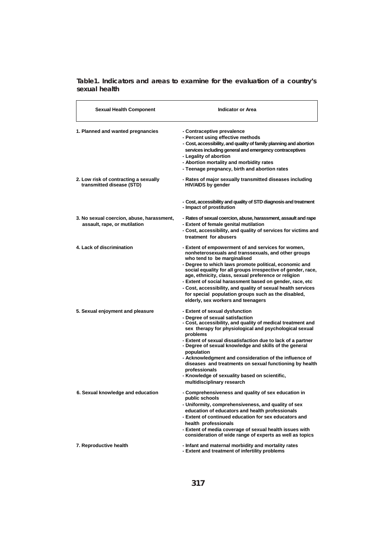**Table1. Indicators and areas to examine for the evaluation of a country's sexual health**

| <b>Sexual Health Component</b>                                            | <b>Indicator or Area</b>                                                                                                                                                                                                                                                                                                                                                                                                                                                                                                                                           |
|---------------------------------------------------------------------------|--------------------------------------------------------------------------------------------------------------------------------------------------------------------------------------------------------------------------------------------------------------------------------------------------------------------------------------------------------------------------------------------------------------------------------------------------------------------------------------------------------------------------------------------------------------------|
| 1. Planned and wanted pregnancies                                         | - Contraceptive prevalence<br>- Percent using effective methods<br>- Cost, accessibility, and quality of family planning and abortion<br>services including general and emergency contraceptives<br>- Legality of abortion<br>- Abortion mortality and morbidity rates<br>- Teenage pregnancy, birth and abortion rates                                                                                                                                                                                                                                            |
| 2. Low risk of contracting a sexually<br>transmitted disease (STD)        | - Rates of major sexually transmitted diseases including<br><b>HIV/AIDS by gender</b>                                                                                                                                                                                                                                                                                                                                                                                                                                                                              |
|                                                                           | - Cost, accessibility and quality of STD diagnosis and treatment<br>- Impact of prostitution                                                                                                                                                                                                                                                                                                                                                                                                                                                                       |
| 3. No sexual coercion, abuse, harassment,<br>assault, rape, or mutilation | - Rates of sexual coercion, abuse, harassment, assault and rape<br>- Extent of female genital mutilation<br>- Cost, accessibility, and quality of services for victims and<br>treatment for abusers                                                                                                                                                                                                                                                                                                                                                                |
| 4. Lack of discrimination                                                 | - Extent of empowerment of and services for women,<br>nonheterosexuals and transsexuals, and other groups<br>who tend to be marginalised<br>- Degree to which laws promote political, economic and<br>social equality for all groups irrespective of gender, race,<br>age, ethnicity, class, sexual preference or religion<br>- Extent of social harassment based on gender, race, etc<br>- Cost, accessibility, and quality of sexual health services<br>for special population groups such as the disabled,<br>elderly, sex workers and teenagers                |
| 5. Sexual enjoyment and pleasure                                          | - Extent of sexual dysfunction<br>- Degree of sexual satisfaction<br>- Cost, accessibility, and quality of medical treatment and<br>sex therapy for physiological and psychological sexual<br>problems<br>- Extent of sexual dissatisfaction due to lack of a partner<br>- Degree of sexual knowledge and skills of the general<br>population<br>- Acknowledgment and consideration of the influence of<br>diseases and treatments on sexual functioning by health<br>professionals<br>- Knowledge of sexuality based on scientific,<br>multidisciplinary research |
| 6. Sexual knowledge and education                                         | - Comprehensiveness and quality of sex education in<br>public schools<br>- Uniformity, comprehensiveness, and quality of sex<br>education of educators and health professionals<br>- Extent of continued education for sex educators and<br>health professionals<br>- Extent of media coverage of sexual health issues with<br>consideration of wide range of experts as well as topics                                                                                                                                                                            |
| 7. Reproductive health                                                    | - Infant and maternal morbidity and mortality rates<br>- Extent and treatment of infertility problems                                                                                                                                                                                                                                                                                                                                                                                                                                                              |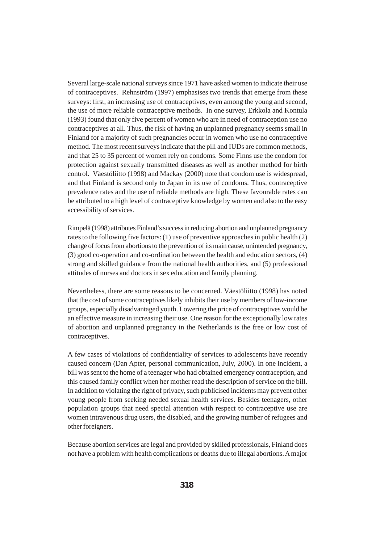Several large-scale national surveys since 1971 have asked women to indicate their use of contraceptives. Rehnström (1997) emphasises two trends that emerge from these surveys: first, an increasing use of contraceptives, even among the young and second, the use of more reliable contraceptive methods. In one survey, Erkkola and Kontula (1993) found that only five percent of women who are in need of contraception use no contraceptives at all. Thus, the risk of having an unplanned pregnancy seems small in Finland for a majority of such pregnancies occur in women who use no contraceptive method. The most recent surveys indicate that the pill and IUDs are common methods, and that 25 to 35 percent of women rely on condoms. Some Finns use the condom for protection against sexually transmitted diseases as well as another method for birth control. Väestöliitto (1998) and Mackay (2000) note that condom use is widespread, and that Finland is second only to Japan in its use of condoms. Thus, contraceptive prevalence rates and the use of reliable methods are high. These favourable rates can be attributed to a high level of contraceptive knowledge by women and also to the easy accessibility of services.

Rimpelä (1998) attributes Finland's success in reducing abortion and unplanned pregnancy rates to the following five factors: (1) use of preventive approaches in public health (2) change of focus from abortions to the prevention of its main cause, unintended pregnancy, (3) good co-operation and co-ordination between the health and education sectors, (4) strong and skilled guidance from the national health authorities, and (5) professional attitudes of nurses and doctors in sex education and family planning.

Nevertheless, there are some reasons to be concerned. Väestöliitto (1998) has noted that the cost of some contraceptives likely inhibits their use by members of low-income groups, especially disadvantaged youth. Lowering the price of contraceptives would be an effective measure in increasing their use. One reason for the exceptionally low rates of abortion and unplanned pregnancy in the Netherlands is the free or low cost of contraceptives.

A few cases of violations of confidentiality of services to adolescents have recently caused concern (Dan Apter, personal communication, July, 2000). In one incident, a bill was sent to the home of a teenager who had obtained emergency contraception, and this caused family conflict when her mother read the description of service on the bill. In addition to violating the right of privacy, such publicised incidents may prevent other young people from seeking needed sexual health services. Besides teenagers, other population groups that need special attention with respect to contraceptive use are women intravenous drug users, the disabled, and the growing number of refugees and other foreigners.

Because abortion services are legal and provided by skilled professionals, Finland does not have a problem with health complications or deaths due to illegal abortions. A major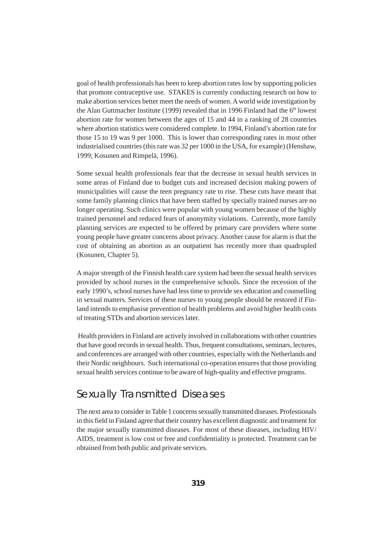goal of health professionals has been to keep abortion rates low by supporting policies that promote contraceptive use. STAKES is currently conducting research on how to make abortion services better meet the needs of women. A world wide investigation by the Alan Guttmacher Institute (1999) revealed that in 1996 Finland had the 6<sup>th</sup> lowest abortion rate for women between the ages of 15 and 44 in a ranking of 28 countries where abortion statistics were considered complete. In 1994, Finland's abortion rate for those 15 to 19 was 9 per 1000. This is lower than corresponding rates in most other industrialised countries (this rate was 32 per 1000 in the USA, for example) (Henshaw, 1999; Kosunen and Rimpelä, 1996).

Some sexual health professionals fear that the decrease in sexual health services in some areas of Finland due to budget cuts and increased decision making powers of municipalities will cause the teen pregnancy rate to rise. These cuts have meant that some family planning clinics that have been staffed by specially trained nurses are no longer operating. Such clinics were popular with young women because of the highly trained personnel and reduced fears of anonymity violations. Currently, more family planning services are expected to be offered by primary care providers where some young people have greater concerns about privacy. Another cause for alarm is that the cost of obtaining an abortion as an outpatient has recently more than quadrupled (Kosunen, Chapter 5).

A major strength of the Finnish health care system had been the sexual health services provided by school nurses in the comprehensive schools. Since the recession of the early 1990's, school nurses have had less time to provide sex education and counselling in sexual matters. Services of these nurses to young people should be restored if Finland intends to emphasise prevention of health problems and avoid higher health costs of treating STDs and abortion services later.

 Health providers in Finland are actively involved in collaborations with other countries that have good records in sexual health. Thus, frequent consultations, seminars, lectures, and conferences are arranged with other countries, especially with the Netherlands and their Nordic neighbours. Such international co-operation ensures that those providing sexual health services continue to be aware of high-quality and effective programs.

### Sexually Transmitted Diseases

The next area to consider in Table 1 concerns sexually transmitted diseases. Professionals in this field in Finland agree that their country has excellent diagnostic and treatment for the major sexually transmitted diseases. For most of these diseases, including HIV/ AIDS, treatment is low cost or free and confidentiality is protected. Treatment can be obtained from both public and private services.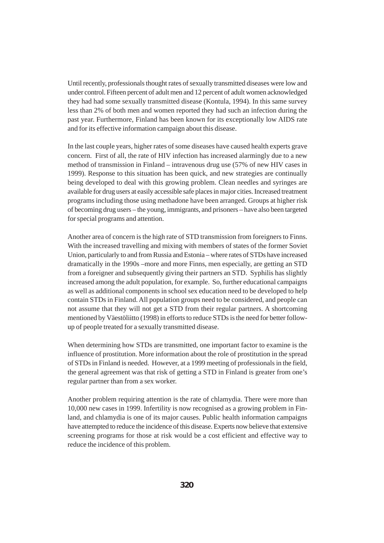Until recently, professionals thought rates of sexually transmitted diseases were low and under control. Fifteen percent of adult men and 12 percent of adult women acknowledged they had had some sexually transmitted disease (Kontula, 1994). In this same survey less than 2% of both men and women reported they had such an infection during the past year. Furthermore, Finland has been known for its exceptionally low AIDS rate and for its effective information campaign about this disease.

In the last couple years, higher rates of some diseases have caused health experts grave concern. First of all, the rate of HIV infection has increased alarmingly due to a new method of transmission in Finland – intravenous drug use (57% of new HIV cases in 1999). Response to this situation has been quick, and new strategies are continually being developed to deal with this growing problem. Clean needles and syringes are available for drug users at easily accessible safe places in major cities. Increased treatment programs including those using methadone have been arranged. Groups at higher risk of becoming drug users – the young, immigrants, and prisoners – have also been targeted for special programs and attention.

Another area of concern is the high rate of STD transmission from foreigners to Finns. With the increased travelling and mixing with members of states of the former Soviet Union, particularly to and from Russia and Estonia – where rates of STDs have increased dramatically in the 1990s –more and more Finns, men especially, are getting an STD from a foreigner and subsequently giving their partners an STD. Syphilis has slightly increased among the adult population, for example. So, further educational campaigns as well as additional components in school sex education need to be developed to help contain STDs in Finland. All population groups need to be considered, and people can not assume that they will not get a STD from their regular partners. A shortcoming mentioned by Väestöliitto (1998) in efforts to reduce STDs is the need for better followup of people treated for a sexually transmitted disease.

When determining how STDs are transmitted, one important factor to examine is the influence of prostitution. More information about the role of prostitution in the spread of STDs in Finland is needed. However, at a 1999 meeting of professionals in the field, the general agreement was that risk of getting a STD in Finland is greater from one's regular partner than from a sex worker.

Another problem requiring attention is the rate of chlamydia. There were more than 10,000 new cases in 1999. Infertility is now recognised as a growing problem in Finland, and chlamydia is one of its major causes. Public health information campaigns have attempted to reduce the incidence of this disease. Experts now believe that extensive screening programs for those at risk would be a cost efficient and effective way to reduce the incidence of this problem.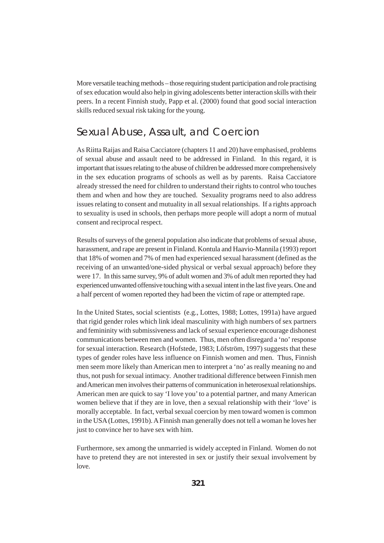More versatile teaching methods – those requiring student participation and role practising of sex education would also help in giving adolescents better interaction skills with their peers. In a recent Finnish study, Papp et al. (2000) found that good social interaction skills reduced sexual risk taking for the young.

### Sexual Abuse, Assault, and Coercion

As Riitta Raijas and Raisa Cacciatore (chapters 11 and 20) have emphasised, problems of sexual abuse and assault need to be addressed in Finland. In this regard, it is important that issues relating to the abuse of children be addressed more comprehensively in the sex education programs of schools as well as by parents. Raisa Cacciatore already stressed the need for children to understand their rights to control who touches them and when and how they are touched. Sexuality programs need to also address issues relating to consent and mutuality in all sexual relationships. If a rights approach to sexuality is used in schools, then perhaps more people will adopt a norm of mutual consent and reciprocal respect.

Results of surveys of the general population also indicate that problems of sexual abuse, harassment, and rape are present in Finland. Kontula and Haavio-Mannila (1993) report that 18% of women and 7% of men had experienced sexual harassment (defined as the receiving of an unwanted/one-sided physical or verbal sexual approach) before they were 17. In this same survey, 9% of adult women and 3% of adult men reported they had experienced unwanted offensive touching with a sexual intent in the last five years. One and a half percent of women reported they had been the victim of rape or attempted rape.

In the United States, social scientists (e.g., Lottes, 1988; Lottes, 1991a) have argued that rigid gender roles which link ideal masculinity with high numbers of sex partners and femininity with submissiveness and lack of sexual experience encourage dishonest communications between men and women. Thus, men often disregard a 'no' response for sexual interaction. Research (Hofstede, 1983; Löfström, 1997) suggests that these types of gender roles have less influence on Finnish women and men. Thus, Finnish men seem more likely than American men to interpret a 'no' as really meaning no and thus, not push for sexual intimacy. Another traditional difference between Finnish men and American men involves their patterns of communication in heterosexual relationships. American men are quick to say 'I love you' to a potential partner, and many American women believe that if they are in love, then a sexual relationship with their 'love' is morally acceptable. In fact, verbal sexual coercion by men toward women is common in the USA (Lottes, 1991b). A Finnish man generally does not tell a woman he loves her just to convince her to have sex with him.

Furthermore, sex among the unmarried is widely accepted in Finland. Women do not have to pretend they are not interested in sex or justify their sexual involvement by love.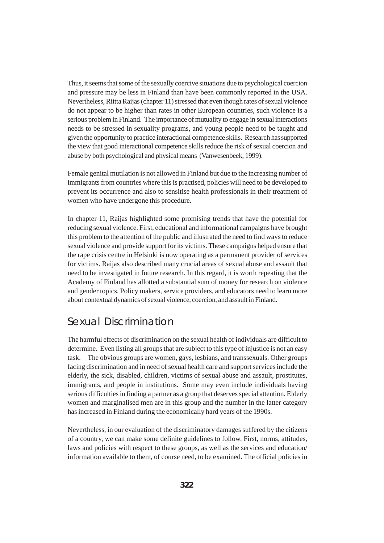Thus, it seems that some of the sexually coercive situations due to psychological coercion and pressure may be less in Finland than have been commonly reported in the USA. Nevertheless, Riitta Raijas (chapter 11) stressed that even though rates of sexual violence do not appear to be higher than rates in other European countries, such violence is a serious problem in Finland. The importance of mutuality to engage in sexual interactions needs to be stressed in sexuality programs, and young people need to be taught and given the opportunity to practice interactional competence skills. Research has supported the view that good interactional competence skills reduce the risk of sexual coercion and abuse by both psychological and physical means (Vanwesenbeek, 1999).

Female genital mutilation is not allowed in Finland but due to the increasing number of immigrants from countries where this is practised, policies will need to be developed to prevent its occurrence and also to sensitise health professionals in their treatment of women who have undergone this procedure.

In chapter 11, Raijas highlighted some promising trends that have the potential for reducing sexual violence. First, educational and informational campaigns have brought this problem to the attention of the public and illustrated the need to find ways to reduce sexual violence and provide support for its victims. These campaigns helped ensure that the rape crisis centre in Helsinki is now operating as a permanent provider of services for victims. Raijas also described many crucial areas of sexual abuse and assault that need to be investigated in future research. In this regard, it is worth repeating that the Academy of Finland has allotted a substantial sum of money for research on violence and gender topics. Policy makers, service providers, and educators need to learn more about contextual dynamics of sexual violence, coercion, and assault in Finland.

### Sexual Discrimination

The harmful effects of discrimination on the sexual health of individuals are difficult to determine. Even listing all groups that are subject to this type of injustice is not an easy task. The obvious groups are women, gays, lesbians, and transsexuals. Other groups facing discrimination and in need of sexual health care and support services include the elderly, the sick, disabled, children, victims of sexual abuse and assault, prostitutes, immigrants, and people in institutions. Some may even include individuals having serious difficulties in finding a partner as a group that deserves special attention. Elderly women and marginalised men are in this group and the number in the latter category has increased in Finland during the economically hard years of the 1990s.

Nevertheless, in our evaluation of the discriminatory damages suffered by the citizens of a country, we can make some definite guidelines to follow. First, norms, attitudes, laws and policies with respect to these groups, as well as the services and education/ information available to them, of course need, to be examined. The official policies in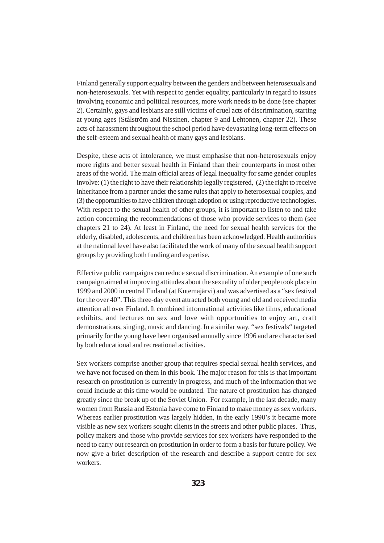Finland generally support equality between the genders and between heterosexuals and non-heterosexuals. Yet with respect to gender equality, particularly in regard to issues involving economic and political resources, more work needs to be done (see chapter 2). Certainly, gays and lesbians are still victims of cruel acts of discrimination, starting at young ages (Stålström and Nissinen, chapter 9 and Lehtonen, chapter 22). These acts of harassment throughout the school period have devastating long-term effects on the self-esteem and sexual health of many gays and lesbians.

Despite, these acts of intolerance, we must emphasise that non-heterosexuals enjoy more rights and better sexual health in Finland than their counterparts in most other areas of the world. The main official areas of legal inequality for same gender couples involve: (1) the right to have their relationship legally registered, (2) the right to receive inheritance from a partner under the same rules that apply to heterosexual couples, and (3) the opportunities to have children through adoption or using reproductive technologies. With respect to the sexual health of other groups, it is important to listen to and take action concerning the recommendations of those who provide services to them (see chapters 21 to 24). At least in Finland, the need for sexual health services for the elderly, disabled, adolescents, and children has been acknowledged. Health authorities at the national level have also facilitated the work of many of the sexual health support groups by providing both funding and expertise.

Effective public campaigns can reduce sexual discrimination. An example of one such campaign aimed at improving attitudes about the sexuality of older people took place in 1999 and 2000 in central Finland (at Kutemajärvi) and was advertised as a "sex festival for the over 40". This three-day event attracted both young and old and received media attention all over Finland. It combined informational activities like films, educational exhibits, and lectures on sex and love with opportunities to enjoy art, craft demonstrations, singing, music and dancing. In a similar way, "sex festivals" targeted primarily for the young have been organised annually since 1996 and are characterised by both educational and recreational activities.

Sex workers comprise another group that requires special sexual health services, and we have not focused on them in this book. The major reason for this is that important research on prostitution is currently in progress, and much of the information that we could include at this time would be outdated. The nature of prostitution has changed greatly since the break up of the Soviet Union. For example, in the last decade, many women from Russia and Estonia have come to Finland to make money as sex workers. Whereas earlier prostitution was largely hidden, in the early 1990's it became more visible as new sex workers sought clients in the streets and other public places. Thus, policy makers and those who provide services for sex workers have responded to the need to carry out research on prostitution in order to form a basis for future policy. We now give a brief description of the research and describe a support centre for sex workers.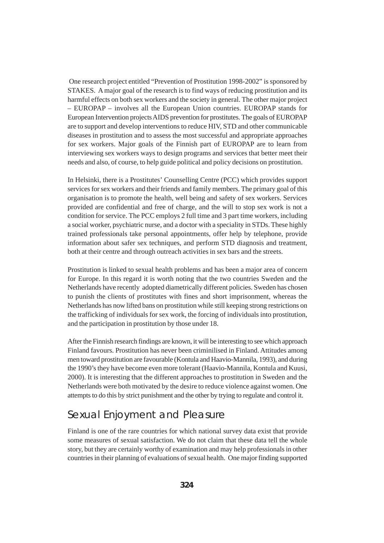One research project entitled "Prevention of Prostitution 1998-2002" is sponsored by STAKES. A major goal of the research is to find ways of reducing prostitution and its harmful effects on both sex workers and the society in general. The other major project – EUROPAP – involves all the European Union countries. EUROPAP stands for European Intervention projects AIDS prevention for prostitutes. The goals of EUROPAP are to support and develop interventions to reduce HIV, STD and other communicable diseases in prostitution and to assess the most successful and appropriate approaches for sex workers. Major goals of the Finnish part of EUROPAP are to learn from interviewing sex workers ways to design programs and services that better meet their needs and also, of course, to help guide political and policy decisions on prostitution.

In Helsinki, there is a Prostitutes' Counselling Centre (PCC) which provides support services for sex workers and their friends and family members. The primary goal of this organisation is to promote the health, well being and safety of sex workers. Services provided are confidential and free of charge, and the will to stop sex work is not a condition for service. The PCC employs 2 full time and 3 part time workers, including a social worker, psychiatric nurse, and a doctor with a speciality in STDs. These highly trained professionals take personal appointments, offer help by telephone, provide information about safer sex techniques, and perform STD diagnosis and treatment, both at their centre and through outreach activities in sex bars and the streets.

Prostitution is linked to sexual health problems and has been a major area of concern for Europe. In this regard it is worth noting that the two countries Sweden and the Netherlands have recently adopted diametrically different policies. Sweden has chosen to punish the clients of prostitutes with fines and short imprisonment, whereas the Netherlands has now lifted bans on prostitution while still keeping strong restrictions on the trafficking of individuals for sex work, the forcing of individuals into prostitution, and the participation in prostitution by those under 18.

After the Finnish research findings are known, it will be interesting to see which approach Finland favours. Prostitution has never been criminilised in Finland. Attitudes among men toward prostitution are favourable (Kontula and Haavio-Mannila, 1993), and during the 1990's they have become even more tolerant (Haavio-Mannila, Kontula and Kuusi, 2000). It is interesting that the different approaches to prostitution in Sweden and the Netherlands were both motivated by the desire to reduce violence against women. One attempts to do this by strict punishment and the other by trying to regulate and control it.

## Sexual Enjoyment and Pleasure

Finland is one of the rare countries for which national survey data exist that provide some measures of sexual satisfaction. We do not claim that these data tell the whole story, but they are certainly worthy of examination and may help professionals in other countries in their planning of evaluations of sexual health. One major finding supported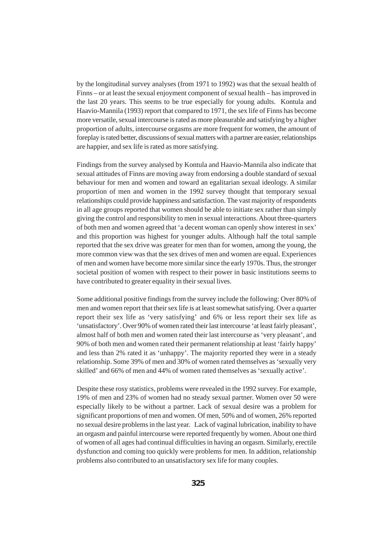by the longitudinal survey analyses (from 1971 to 1992) was that the sexual health of Finns – or at least the sexual enjoyment component of sexual health – has improved in the last 20 years. This seems to be true especially for young adults. Kontula and Haavio-Mannila (1993) report that compared to 1971, the sex life of Finns has become more versatile, sexual intercourse is rated as more pleasurable and satisfying by a higher proportion of adults, intercourse orgasms are more frequent for women, the amount of foreplay is rated better, discussions of sexual matters with a partner are easier, relationships are happier, and sex life is rated as more satisfying.

Findings from the survey analysed by Kontula and Haavio-Mannila also indicate that sexual attitudes of Finns are moving away from endorsing a double standard of sexual behaviour for men and women and toward an egalitarian sexual ideology. A similar proportion of men and women in the 1992 survey thought that temporary sexual relationships could provide happiness and satisfaction. The vast majority of respondents in all age groups reported that women should be able to initiate sex rather than simply giving the control and responsibility to men in sexual interactions. About three-quarters of both men and women agreed that 'a decent woman can openly show interest in sex' and this proportion was highest for younger adults. Although half the total sample reported that the sex drive was greater for men than for women, among the young, the more common view was that the sex drives of men and women are equal. Experiences of men and women have become more similar since the early 1970s. Thus, the stronger societal position of women with respect to their power in basic institutions seems to have contributed to greater equality in their sexual lives.

Some additional positive findings from the survey include the following: Over 80% of men and women report that their sex life is at least somewhat satisfying. Over a quarter report their sex life as 'very satisfying' and 6% or less report their sex life as 'unsatisfactory'. Over 90% of women rated their last intercourse 'at least fairly pleasant', almost half of both men and women rated their last intercourse as 'very pleasant', and 90% of both men and women rated their permanent relationship at least 'fairly happy' and less than 2% rated it as 'unhappy'. The majority reported they were in a steady relationship. Some 39% of men and 30% of women rated themselves as 'sexually very skilled' and 66% of men and 44% of women rated themselves as 'sexually active'.

Despite these rosy statistics, problems were revealed in the 1992 survey. For example, 19% of men and 23% of women had no steady sexual partner. Women over 50 were especially likely to be without a partner. Lack of sexual desire was a problem for significant proportions of men and women. Of men, 50% and of women, 26% reported no sexual desire problems in the last year. Lack of vaginal lubrication, inability to have an orgasm and painful intercourse were reported frequently by women. About one third of women of all ages had continual difficulties in having an orgasm. Similarly, erectile dysfunction and coming too quickly were problems for men. In addition, relationship problems also contributed to an unsatisfactory sex life for many couples.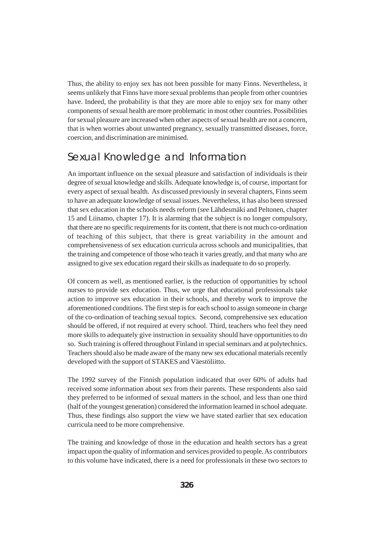Thus, the ability to enjoy sex has not been possible for many Finns. Nevertheless, it seems unlikely that Finns have more sexual problems than people from other countries have. Indeed, the probability is that they are more able to enjoy sex for many other components of sexual health are more problematic in most other countries. Possibilities for sexual pleasure are increased when other aspects of sexual health are not a concern, that is when worries about unwanted pregnancy, sexually transmitted diseases, force, coercion, and discrimination are minimised.

### Sexual Knowledge and Information

An important influence on the sexual pleasure and satisfaction of individuals is their degree of sexual knowledge and skills. Adequate knowledge is, of course, important for every aspect of sexual health. As discussed previously in several chapters, Finns seem to have an adequate knowledge of sexual issues. Nevertheless, it has also been stressed that sex education in the schools needs reform (see Lähdesmäki and Peltonen, chapter 15 and Liinamo, chapter 17). It is alarming that the subject is no longer compulsory, that there are no specific requirements for its content, that there is not much co-ordination of teaching of this subject, that there is great variability in the amount and comprehensiveness of sex education curricula across schools and municipalities, that the training and competence of those who teach it varies greatly, and that many who are assigned to give sex education regard their skills as inadequate to do so properly.

Of concern as well, as mentioned earlier, is the reduction of opportunities by school nurses to provide sex education. Thus, we urge that educational professionals take action to improve sex education in their schools, and thereby work to improve the aforementioned conditions. The first step is for each school to assign someone in charge of the co-ordination of teaching sexual topics. Second, comprehensive sex education should be offered, if not required at every school. Third, teachers who feel they need more skills to adequately give instruction in sexuality should have opportunities to do so. Such training is offered throughout Finland in special seminars and at polytechnics. Teachers should also be made aware of the many new sex educational materials recently developed with the support of STAKES and Väestöliitto.

The 1992 survey of the Finnish population indicated that over 60% of adults had received some information about sex from their parents. These respondents also said they preferred to be informed of sexual matters in the school, and less than one third (half of the youngest generation) considered the information learned in school adequate. Thus, these findings also support the view we have stated earlier that sex education curricula need to be more comprehensive.

The training and knowledge of those in the education and health sectors has a great impact upon the quality of information and services provided to people. As contributors to this volume have indicated, there is a need for professionals in these two sectors to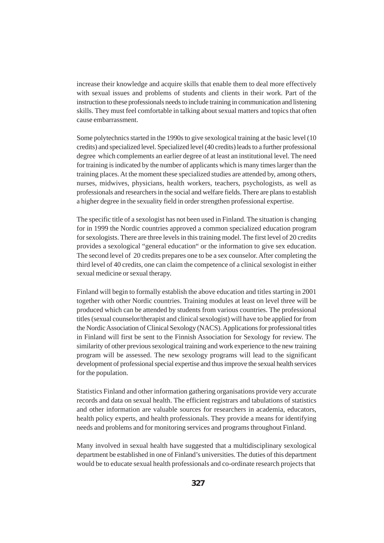increase their knowledge and acquire skills that enable them to deal more effectively with sexual issues and problems of students and clients in their work. Part of the instruction to these professionals needs to include training in communication and listening skills. They must feel comfortable in talking about sexual matters and topics that often cause embarrassment.

Some polytechnics started in the 1990s to give sexological training at the basic level (10 credits) and specialized level. Specialized level (40 credits) leads to a further professional degree which complements an earlier degree of at least an institutional level. The need for training is indicated by the number of applicants which is many times larger than the training places. At the moment these specialized studies are attended by, among others, nurses, midwives, physicians, health workers, teachers, psychologists, as well as professionals and researchers in the social and welfare fields. There are plans to establish a higher degree in the sexuality field in order strengthen professional expertise.

The specific title of a sexologist has not been used in Finland. The situation is changing for in 1999 the Nordic countries approved a common specialized education program for sexologists. There are three levels in this training model. The first level of 20 credits provides a sexological "general education" or the information to give sex education. The second level of 20 credits prepares one to be a sex counselor. After completing the third level of 40 credits, one can claim the competence of a clinical sexologist in either sexual medicine or sexual therapy.

Finland will begin to formally establish the above education and titles starting in 2001 together with other Nordic countries. Training modules at least on level three will be produced which can be attended by students from various countries. The professional titles (sexual counselor/therapist and clinical sexologist) will have to be applied for from the Nordic Association of Clinical Sexology (NACS). Applications for professional titles in Finland will first be sent to the Finnish Association for Sexology for review. The similarity of other previous sexological training and work experience to the new training program will be assessed. The new sexology programs will lead to the significant development of professional special expertise and thus improve the sexual health services for the population.

Statistics Finland and other information gathering organisations provide very accurate records and data on sexual health. The efficient registrars and tabulations of statistics and other information are valuable sources for researchers in academia, educators, health policy experts, and health professionals. They provide a means for identifying needs and problems and for monitoring services and programs throughout Finland.

Many involved in sexual health have suggested that a multidisciplinary sexological department be established in one of Finland's universities. The duties of this department would be to educate sexual health professionals and co-ordinate research projects that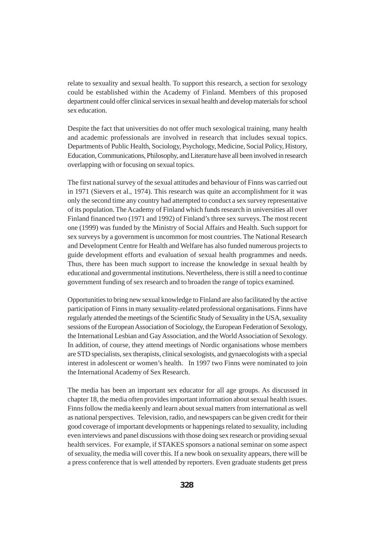relate to sexuality and sexual health. To support this research, a section for sexology could be established within the Academy of Finland. Members of this proposed department could offer clinical services in sexual health and develop materials for school sex education.

Despite the fact that universities do not offer much sexological training, many health and academic professionals are involved in research that includes sexual topics. Departments of Public Health, Sociology, Psychology, Medicine, Social Policy, History, Education, Communications, Philosophy, and Literature have all been involved in research overlapping with or focusing on sexual topics.

The first national survey of the sexual attitudes and behaviour of Finns was carried out in 1971 (Sievers et al., 1974). This research was quite an accomplishment for it was only the second time any country had attempted to conduct a sex survey representative of its population. The Academy of Finland which funds research in universities all over Finland financed two (1971 and 1992) of Finland's three sex surveys. The most recent one (1999) was funded by the Ministry of Social Affairs and Health. Such support for sex surveys by a government is uncommon for most countries. The National Research and Development Centre for Health and Welfare has also funded numerous projects to guide development efforts and evaluation of sexual health programmes and needs. Thus, there has been much support to increase the knowledge in sexual health by educational and governmental institutions. Nevertheless, there is still a need to continue government funding of sex research and to broaden the range of topics examined.

Opportunities to bring new sexual knowledge to Finland are also facilitated by the active participation of Finns in many sexuality-related professional organisations. Finns have regularly attended the meetings of the Scientific Study of Sexuality in the USA, sexuality sessions of the European Association of Sociology, the European Federation of Sexology, the International Lesbian and Gay Association, and the World Association of Sexology. In addition, of course, they attend meetings of Nordic organisations whose members are STD specialists, sex therapists, clinical sexologists, and gynaecologists with a special interest in adolescent or women's health. In 1997 two Finns were nominated to join the International Academy of Sex Research.

The media has been an important sex educator for all age groups. As discussed in chapter 18, the media often provides important information about sexual health issues. Finns follow the media keenly and learn about sexual matters from international as well as national perspectives. Television, radio, and newspapers can be given credit for their good coverage of important developments or happenings related to sexuality, including even interviews and panel discussions with those doing sex research or providing sexual health services. For example, if STAKES sponsors a national seminar on some aspect of sexuality, the media will cover this. If a new book on sexuality appears, there will be a press conference that is well attended by reporters. Even graduate students get press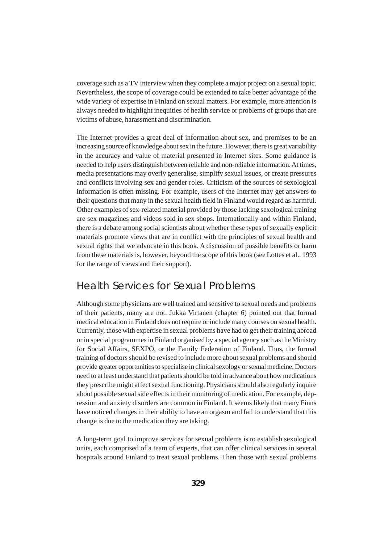coverage such as a TV interview when they complete a major project on a sexual topic. Nevertheless, the scope of coverage could be extended to take better advantage of the wide variety of expertise in Finland on sexual matters. For example, more attention is always needed to highlight inequities of health service or problems of groups that are victims of abuse, harassment and discrimination.

The Internet provides a great deal of information about sex, and promises to be an increasing source of knowledge about sex in the future. However, there is great variability in the accuracy and value of material presented in Internet sites. Some guidance is needed to help users distinguish between reliable and non-reliable information. At times, media presentations may overly generalise, simplify sexual issues, or create pressures and conflicts involving sex and gender roles. Criticism of the sources of sexological information is often missing. For example, users of the Internet may get answers to their questions that many in the sexual health field in Finland would regard as harmful. Other examples of sex-related material provided by those lacking sexological training are sex magazines and videos sold in sex shops. Internationally and within Finland, there is a debate among social scientists about whether these types of sexually explicit materials promote views that are in conflict with the principles of sexual health and sexual rights that we advocate in this book. A discussion of possible benefits or harm from these materials is, however, beyond the scope of this book (see Lottes et al., 1993 for the range of views and their support).

### Health Services for Sexual Problems

Although some physicians are well trained and sensitive to sexual needs and problems of their patients, many are not. Jukka Virtanen (chapter 6) pointed out that formal medical education in Finland does not require or include many courses on sexual health. Currently, those with expertise in sexual problems have had to get their training abroad or in special programmes in Finland organised by a special agency such as the Ministry for Social Affairs, SEXPO, or the Family Federation of Finland. Thus, the formal training of doctors should be revised to include more about sexual problems and should provide greater opportunities to specialise in clinical sexology or sexual medicine. Doctors need to at least understand that patients should be told in advance about how medications they prescribe might affect sexual functioning. Physicians should also regularly inquire about possible sexual side effects in their monitoring of medication. For example, depression and anxiety disorders are common in Finland. It seems likely that many Finns have noticed changes in their ability to have an orgasm and fail to understand that this change is due to the medication they are taking.

A long-term goal to improve services for sexual problems is to establish sexological units, each comprised of a team of experts, that can offer clinical services in several hospitals around Finland to treat sexual problems. Then those with sexual problems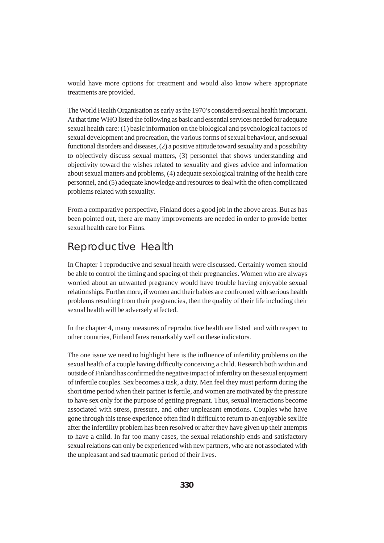would have more options for treatment and would also know where appropriate treatments are provided.

The World Health Organisation as early as the 1970's considered sexual health important. At that time WHO listed the following as basic and essential services needed for adequate sexual health care: (1) basic information on the biological and psychological factors of sexual development and procreation, the various forms of sexual behaviour, and sexual functional disorders and diseases, (2) a positive attitude toward sexuality and a possibility to objectively discuss sexual matters, (3) personnel that shows understanding and objectivity toward the wishes related to sexuality and gives advice and information about sexual matters and problems, (4) adequate sexological training of the health care personnel, and (5) adequate knowledge and resources to deal with the often complicated problems related with sexuality.

From a comparative perspective, Finland does a good job in the above areas. But as has been pointed out, there are many improvements are needed in order to provide better sexual health care for Finns.

### Reproductive Health

In Chapter 1 reproductive and sexual health were discussed. Certainly women should be able to control the timing and spacing of their pregnancies. Women who are always worried about an unwanted pregnancy would have trouble having enjoyable sexual relationships. Furthermore, if women and their babies are confronted with serious health problems resulting from their pregnancies, then the quality of their life including their sexual health will be adversely affected.

In the chapter 4, many measures of reproductive health are listed and with respect to other countries, Finland fares remarkably well on these indicators.

The one issue we need to highlight here is the influence of infertility problems on the sexual health of a couple having difficulty conceiving a child. Research both within and outside of Finland has confirmed the negative impact of infertility on the sexual enjoyment of infertile couples. Sex becomes a task, a duty. Men feel they must perform during the short time period when their partner is fertile, and women are motivated by the pressure to have sex only for the purpose of getting pregnant. Thus, sexual interactions become associated with stress, pressure, and other unpleasant emotions. Couples who have gone through this tense experience often find it difficult to return to an enjoyable sex life after the infertility problem has been resolved or after they have given up their attempts to have a child. In far too many cases, the sexual relationship ends and satisfactory sexual relations can only be experienced with new partners, who are not associated with the unpleasant and sad traumatic period of their lives.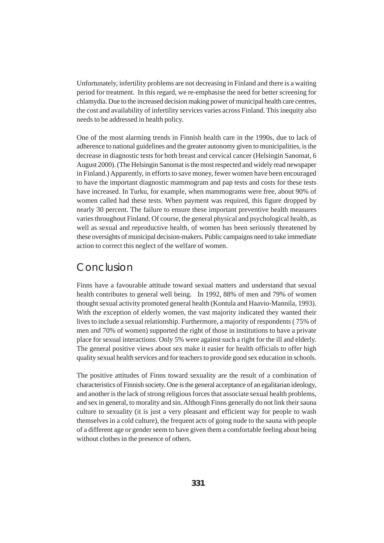Unfortunately, infertility problems are not decreasing in Finland and there is a waiting period for treatment. In this regard, we re-emphasise the need for better screening for chlamydia. Due to the increased decision making power of municipal health care centres, the cost and availability of infertility services varies across Finland. This inequity also needs to be addressed in health policy.

One of the most alarming trends in Finnish health care in the 1990s, due to lack of adherence to national guidelines and the greater autonomy given to municipalities, is the decrease in diagnostic tests for both breast and cervical cancer (Helsingin Sanomat, 6 August 2000). (The Helsingin Sanomat is the most respected and widely read newspaper in Finland.) Apparently, in efforts to save money, fewer women have been encouraged to have the important diagnostic mammogram and pap tests and costs for these tests have increased. In Turku, for example, when mammograms were free, about 90% of women called had these tests. When payment was required, this figure dropped by nearly 30 percent. The failure to ensure these important preventive health measures varies throughout Finland. Of course, the general physical and psychological health, as well as sexual and reproductive health, of women has been seriously threatened by these oversights of municipal decision-makers. Public campaigns need to take immediate action to correct this neglect of the welfare of women.

### Conclusion

Finns have a favourable attitude toward sexual matters and understand that sexual health contributes to general well being. In 1992, 88% of men and 79% of women thought sexual activity promoted general health (Kontula and Haavio-Mannila, 1993). With the exception of elderly women, the vast majority indicated they wanted their lives to include a sexual relationship. Furthermore, a majority of respondents ( 75% of men and 70% of women) supported the right of those in institutions to have a private place for sexual interactions. Only 5% were against such a right for the ill and elderly. The general positive views about sex make it easier for health officials to offer high quality sexual health services and for teachers to provide good sex education in schools.

The positive attitudes of Finns toward sexuality are the result of a combination of characteristics of Finnish society. One is the general acceptance of an egalitarian ideology, and another is the lack of strong religious forces that associate sexual health problems, and sex in general, to morality and sin. Although Finns generally do not link their sauna culture to sexuality (it is just a very pleasant and efficient way for people to wash themselves in a cold culture), the frequent acts of going nude to the sauna with people of a different age or gender seem to have given them a comfortable feeling about being without clothes in the presence of others.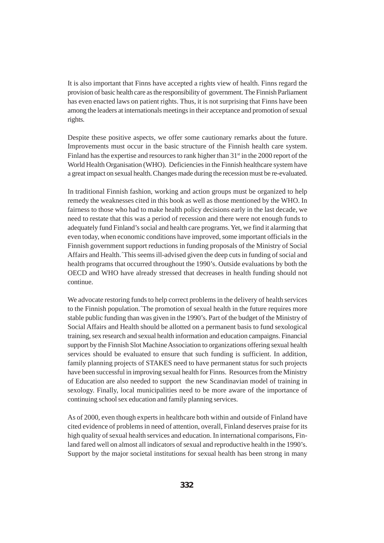It is also important that Finns have accepted a rights view of health. Finns regard the provision of basic health care as the responsibility of government. The Finnish Parliament has even enacted laws on patient rights. Thus, it is not surprising that Finns have been among the leaders at internationals meetings in their acceptance and promotion of sexual rights.

Despite these positive aspects, we offer some cautionary remarks about the future. Improvements must occur in the basic structure of the Finnish health care system. Finland has the expertise and resources to rank higher than  $31<sup>st</sup>$  in the 2000 report of the World Health Organisation (WHO). Deficiencies in the Finnish healthcare system have a great impact on sexual health. Changes made during the recession must be re-evaluated.

In traditional Finnish fashion, working and action groups must be organized to help remedy the weaknesses cited in this book as well as those mentioned by the WHO. In fairness to those who had to make health policy decisions early in the last decade, we need to restate that this was a period of recession and there were not enough funds to adequately fund Finland's social and health care programs. Yet, we find it alarming that even today, when economic conditions have improved, some important officials in the Finnish government support reductions in funding proposals of the Ministry of Social Affairs and Health.´This seems ill-advised given the deep cuts in funding of social and health programs that occurred throughout the 1990's. Outside evaluations by both the OECD and WHO have already stressed that decreases in health funding should not continue.

We advocate restoring funds to help correct problems in the delivery of health services to the Finnish population.´The promotion of sexual health in the future requires more stable public funding than was given in the 1990's. Part of the budget of the Ministry of Social Affairs and Health should be allotted on a permanent basis to fund sexological training, sex research and sexual health information and education campaigns. Financial support by the Finnish Slot Machine Association to organizations offering sexual health services should be evaluated to ensure that such funding is sufficient. In addition, family planning projects of STAKES need to have permanent status for such projects have been successful in improving sexual health for Finns. Resources from the Ministry of Education are also needed to support the new Scandinavian model of training in sexology. Finally, local municipalities need to be more aware of the importance of continuing school sex education and family planning services.

As of 2000, even though experts in healthcare both within and outside of Finland have cited evidence of problems in need of attention, overall, Finland deserves praise for its high quality of sexual health services and education. In international comparisons, Finland fared well on almost all indicators of sexual and reproductive health in the 1990's. Support by the major societal institutions for sexual health has been strong in many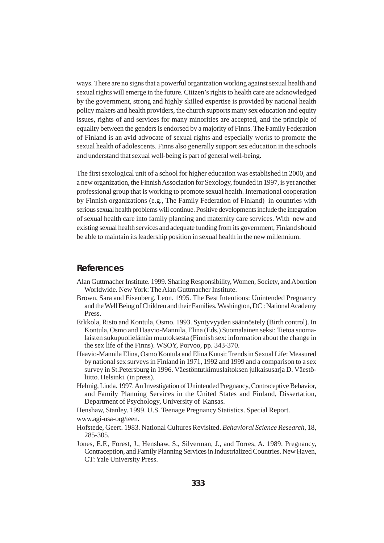ways. There are no signs that a powerful organization working against sexual health and sexual rights will emerge in the future. Citizen's rights to health care are acknowledged by the government, strong and highly skilled expertise is provided by national health policy makers and health providers, the church supports many sex education and equity issues, rights of and services for many minorities are accepted, and the principle of equality between the genders is endorsed by a majority of Finns. The Family Federation of Finland is an avid advocate of sexual rights and especially works to promote the sexual health of adolescents. Finns also generally support sex education in the schools and understand that sexual well-being is part of general well-being.

The first sexological unit of a school for higher education was established in 2000, and a new organization, the Finnish Association for Sexology, founded in 1997, is yet another professional group that is working to promote sexual health. International cooperation by Finnish organizations (e.g., The Family Federation of Finland) in countries with serious sexual health problems will continue. Positive developments include the integration of sexual health care into family planning and maternity care services. With new and existing sexual health services and adequate funding from its government, Finland should be able to maintain its leadership position in sexual health in the new millennium.

#### **References**

- Alan Guttmacher Institute. 1999. Sharing Responsibility, Women, Society, and Abortion Worldwide. New York: The Alan Guttmacher Institute.
- Brown, Sara and Eisenberg, Leon. 1995. The Best Intentions: Unintended Pregnancy and the Well Being of Children and their Families. Washington, DC : National Academy Press.
- Erkkola, Risto and Kontula, Osmo. 1993. Syntyvyyden säännöstely (Birth control). In Kontula, Osmo and Haavio-Mannila, Elina (Eds.) Suomalainen seksi: Tietoa suomalaisten sukupuolielämän muutoksesta (Finnish sex: information about the change in the sex life of the Finns). WSOY, Porvoo, pp. 343-370.
- Haavio-Mannila Elina, Osmo Kontula and Elina Kuusi: Trends in Sexual Life: Measured by national sex surveys in Finland in 1971, 1992 and 1999 and a comparison to a sex survey in St.Petersburg in 1996. Väestöntutkimuslaitoksen julkaisusarja D. Väestöliitto. Helsinki. (in press).
- Helmig, Linda. 1997. An Investigation of Unintended Pregnancy, Contraceptive Behavior, and Family Planning Services in the United States and Finland, Dissertation, Department of Psychology, University of Kansas.
- Henshaw, Stanley. 1999. U.S. Teenage Pregnancy Statistics. Special Report.

www.agi-usa-org/teen.

- Hofstede, Geert. 1983. National Cultures Revisited. *Behavioral Science Research*, 18, 285-305.
- Jones, E.F., Forest, J., Henshaw, S., Silverman, J., and Torres, A. 1989. Pregnancy, Contraception, and Family Planning Services in Industrialized Countries. New Haven, CT: Yale University Press.